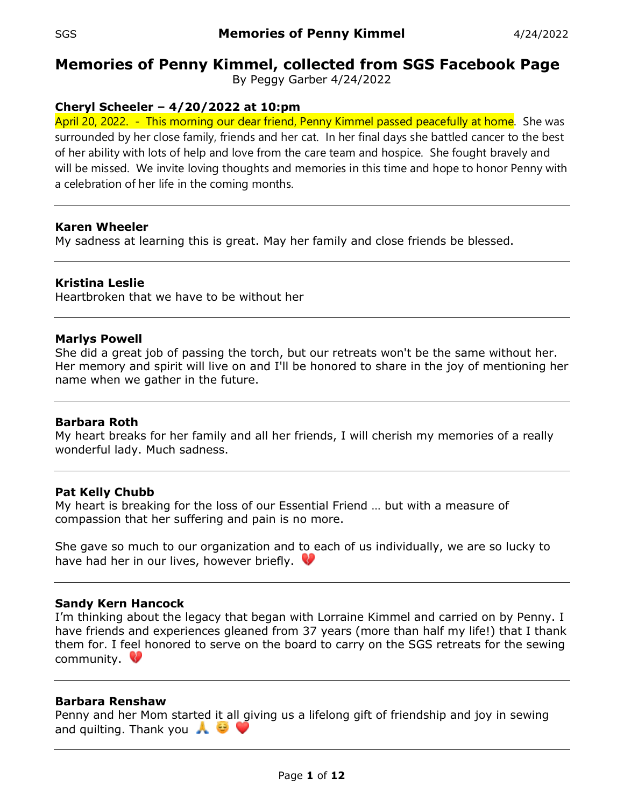# **Memories of Penny Kimmel, collected from SGS Facebook Page**

By Peggy Garber 4/24/2022

# **Cheryl Scheeler – 4/20/2022 at 10:pm**

April 20, 2022. - This morning our dear friend, Penny Kimmel passed peacefully at home. She was surrounded by her close family, friends and her cat. In her final days she battled cancer to the best of her ability with lots of help and love from the care team and hospice. She fought bravely and will be missed. We invite loving thoughts and memories in this time and hope to honor Penny with a celebration of her life in the coming months.

# **Karen Wheeler**

My sadness at learning this is great. May her family and close friends be blessed.

# **Kristina Leslie**

Heartbroken that we have to be without her

## **Marlys Powell**

She did a great job of passing the torch, but our retreats won't be the same without her. Her memory and spirit will live on and I'll be honored to share in the joy of mentioning her name when we gather in the future.

#### **Barbara Roth**

My heart breaks for her family and all her friends, I will cherish my memories of a really wonderful lady. Much sadness.

#### **Pat Kelly Chubb**

My heart is breaking for the loss of our Essential Friend … but with a measure of compassion that her suffering and pain is no more.

She gave so much to our organization and to each of us individually, we are so lucky to have had her in our lives, however briefly.  $\mathbf \heartsuit$ 

# **Sandy Kern Hancock**

I'm thinking about the legacy that began with Lorraine Kimmel and carried on by Penny. I have friends and experiences gleaned from 37 years (more than half my life!) that I thank them for. I feel honored to serve on the board to carry on the SGS retreats for the sewing community.

# **Barbara Renshaw**

Penny and her Mom started it all giving us a lifelong gift of friendship and joy in sewing and quilting. Thank you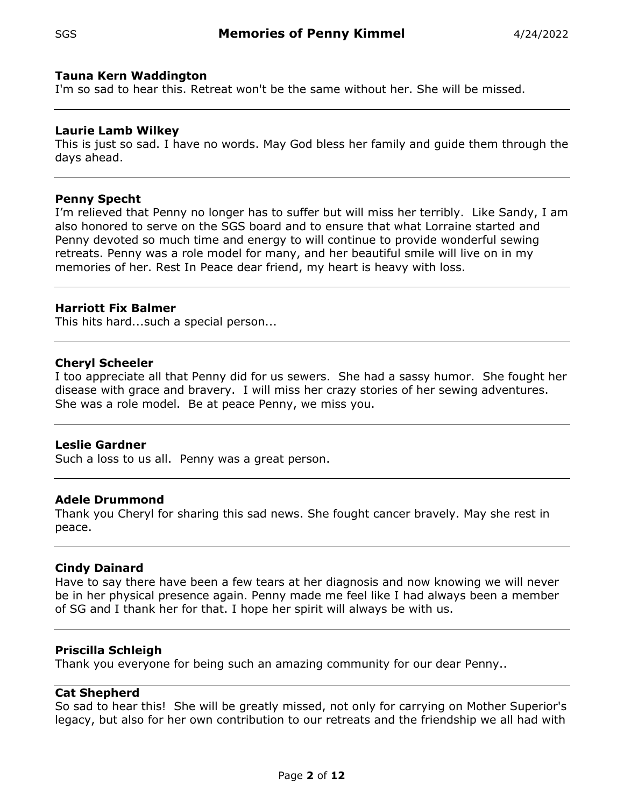## **Tauna Kern Waddington**

I'm so sad to hear this. Retreat won't be the same without her. She will be missed.

## **Laurie Lamb Wilkey**

This is just so sad. I have no words. May God bless her family and guide them through the days ahead.

#### **Penny Specht**

I'm relieved that Penny no longer has to suffer but will miss her terribly. Like Sandy, I am also honored to serve on the SGS board and to ensure that what Lorraine started and Penny devoted so much time and energy to will continue to provide wonderful sewing retreats. Penny was a role model for many, and her beautiful smile will live on in my memories of her. Rest In Peace dear friend, my heart is heavy with loss.

## **Harriott Fix Balmer**

This hits hard...such a special person...

## **Cheryl Scheeler**

I too appreciate all that Penny did for us sewers. She had a sassy humor. She fought her disease with grace and bravery. I will miss her crazy stories of her sewing adventures. She was a role model. Be at peace Penny, we miss you.

#### **Leslie Gardner**

Such a loss to us all. Penny was a great person.

#### **Adele Drummond**

Thank you Cheryl for sharing this sad news. She fought cancer bravely. May she rest in peace.

#### **Cindy Dainard**

Have to say there have been a few tears at her diagnosis and now knowing we will never be in her physical presence again. Penny made me feel like I had always been a member of SG and I thank her for that. I hope her spirit will always be with us.

# **Priscilla Schleigh**

Thank you everyone for being such an amazing community for our dear Penny..

#### **Cat Shepherd**

So sad to hear this! She will be greatly missed, not only for carrying on Mother Superior's legacy, but also for her own contribution to our retreats and the friendship we all had with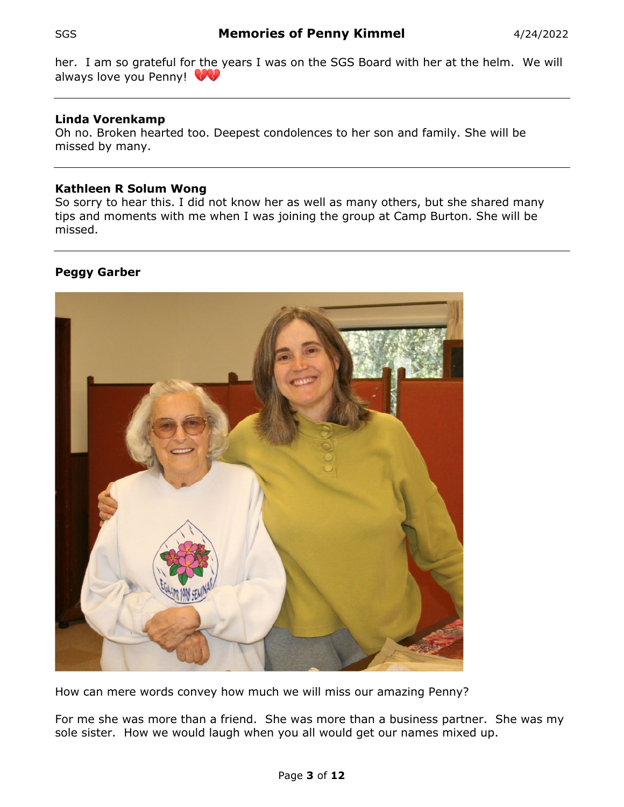her. I am so grateful for the years I was on the SGS Board with her at the helm. We will always love you Penny!

# **Linda Vorenkamp**

Oh no. Broken hearted too. Deepest condolences to her son and family. She will be missed by many.

# **Kathleen R Solum Wong**

So sorry to hear this. I did not know her as well as many others, but she shared many tips and moments with me when I was joining the group at Camp Burton. She will be missed.

# **Peggy Garber**



How can mere words convey how much we will miss our amazing Penny?

For me she was more than a friend. She was more than a business partner. She was my sole sister. How we would laugh when you all would get our names mixed up.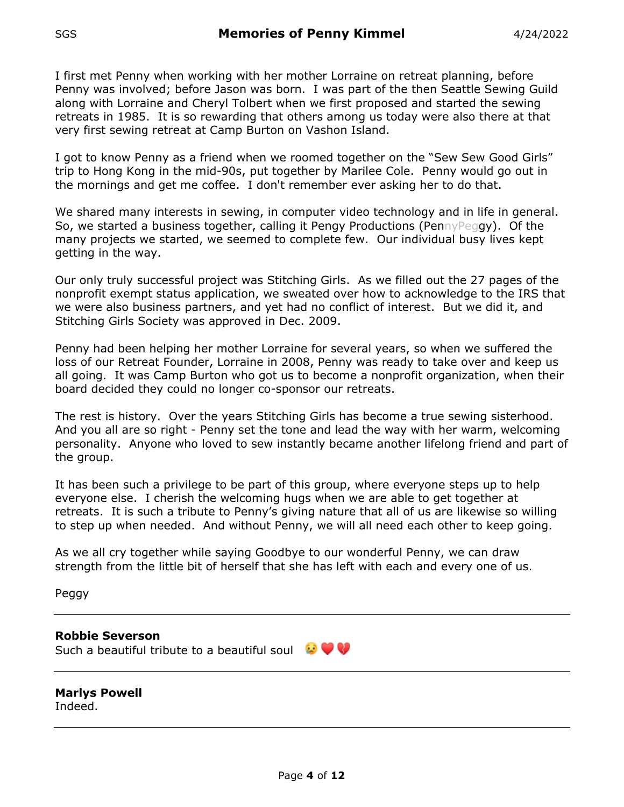I first met Penny when working with her mother Lorraine on retreat planning, before Penny was involved; before Jason was born. I was part of the then Seattle Sewing Guild along with Lorraine and Cheryl Tolbert when we first proposed and started the sewing retreats in 1985. It is so rewarding that others among us today were also there at that very first sewing retreat at Camp Burton on Vashon Island.

I got to know Penny as a friend when we roomed together on the "Sew Sew Good Girls" trip to Hong Kong in the mid-90s, put together by Marilee Cole. Penny would go out in the mornings and get me coffee. I don't remember ever asking her to do that.

We shared many interests in sewing, in computer video technology and in life in general. So, we started a business together, calling it Pengy Productions (PennyPeggy). Of the many projects we started, we seemed to complete few. Our individual busy lives kept getting in the way.

Our only truly successful project was Stitching Girls. As we filled out the 27 pages of the nonprofit exempt status application, we sweated over how to acknowledge to the IRS that we were also business partners, and yet had no conflict of interest. But we did it, and Stitching Girls Society was approved in Dec. 2009.

Penny had been helping her mother Lorraine for several years, so when we suffered the loss of our Retreat Founder, Lorraine in 2008, Penny was ready to take over and keep us all going. It was Camp Burton who got us to become a nonprofit organization, when their board decided they could no longer co-sponsor our retreats.

The rest is history. Over the years Stitching Girls has become a true sewing sisterhood. And you all are so right - Penny set the tone and lead the way with her warm, welcoming personality. Anyone who loved to sew instantly became another lifelong friend and part of the group.

It has been such a privilege to be part of this group, where everyone steps up to help everyone else. I cherish the welcoming hugs when we are able to get together at retreats. It is such a tribute to Penny's giving nature that all of us are likewise so willing to step up when needed. And without Penny, we will all need each other to keep going.

As we all cry together while saying Goodbye to our wonderful Penny, we can draw strength from the little bit of herself that she has left with each and every one of us.

Peggy

**Robbie Severson** Such a beautiful tribute to a beautiful soul  $\bigcirc \bigcirc \bigcirc$ 

**Marlys Powell** Indeed.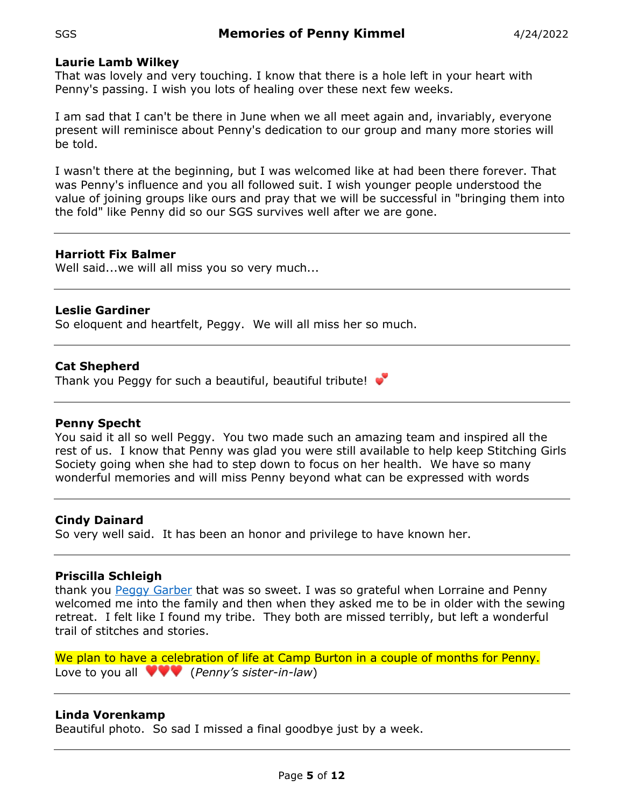## **Laurie Lamb Wilkey**

That was lovely and very touching. I know that there is a hole left in your heart with Penny's passing. I wish you lots of healing over these next few weeks.

I am sad that I can't be there in June when we all meet again and, invariably, everyone present will reminisce about Penny's dedication to our group and many more stories will be told.

I wasn't there at the beginning, but I was welcomed like at had been there forever. That was Penny's influence and you all followed suit. I wish younger people understood the value of joining groups like ours and pray that we will be successful in "bringing them into the fold" like Penny did so our SGS survives well after we are gone.

## **Harriott Fix Balmer**

Well said...we will all miss you so very much...

# **Leslie Gardiner**

So eloquent and heartfelt, Peggy. We will all miss her so much.

## **Cat Shepherd**

Thank you Peggy for such a beautiful, beautiful tribute!

#### **Penny Specht**

You said it all so well Peggy. You two made such an amazing team and inspired all the rest of us. I know that Penny was glad you were still available to help keep Stitching Girls Society going when she had to step down to focus on her health. We have so many wonderful memories and will miss Penny beyond what can be expressed with words

#### **Cindy Dainard**

So very well said. It has been an honor and privilege to have known her.

#### **Priscilla Schleigh**

thank you [Peggy Garber](https://www.facebook.com/groups/184706381544723/user/100000304609261/?__cft__%5b0%5d=AZUAQ0-x3FRhjJRP1NrMa7TyBaFNJV3EuPI_6U6qHnmvk72tJFsaf9f9en7KbRPbyZ7OkuIPUZ4Oj-6DBA7ewc97W1AFRuvGn9-yIQfaCIb6qhYCpnjGLef0AB1uZ9rQ0ZjdQKhTp_iEah7Crhdtpclt&__tn__=R%5d-R) that was so sweet. I was so grateful when Lorraine and Penny welcomed me into the family and then when they asked me to be in older with the sewing retreat. I felt like I found my tribe. They both are missed terribly, but left a wonderful trail of stitches and stories.

We plan to have a celebration of life at Camp Burton in a couple of months for Penny. Love to you all (*Penny's sister-in-law*)

# **Linda Vorenkamp**

Beautiful photo. So sad I missed a final goodbye just by a week.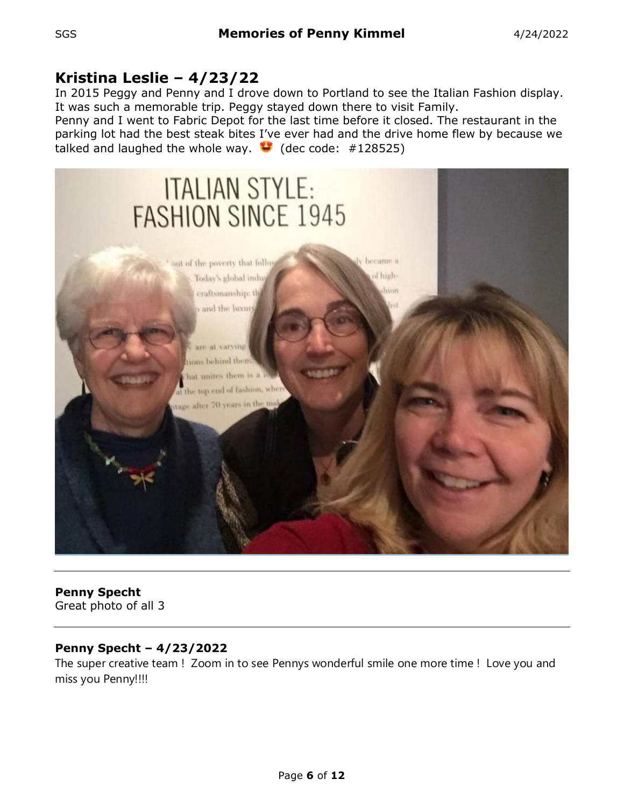# **Kristina Leslie – 4/23/22**

In 2015 Peggy and Penny and I drove down to Portland to see the Italian Fashion display. It was such a memorable trip. Peggy stayed down there to visit Family.

Penny and I went to Fabric Depot for the last time before it closed. The restaurant in the parking lot had the best steak bites I've ever had and the drive home flew by because we talked and laughed the whole way.  $\bullet$  (dec code: #128525)



# **Penny Specht**

Great photo of all 3

# **Penny Specht – 4/23/2022**

The super creative team ! Zoom in to see Pennys wonderful smile one more time ! Love you and miss you Penny!!!!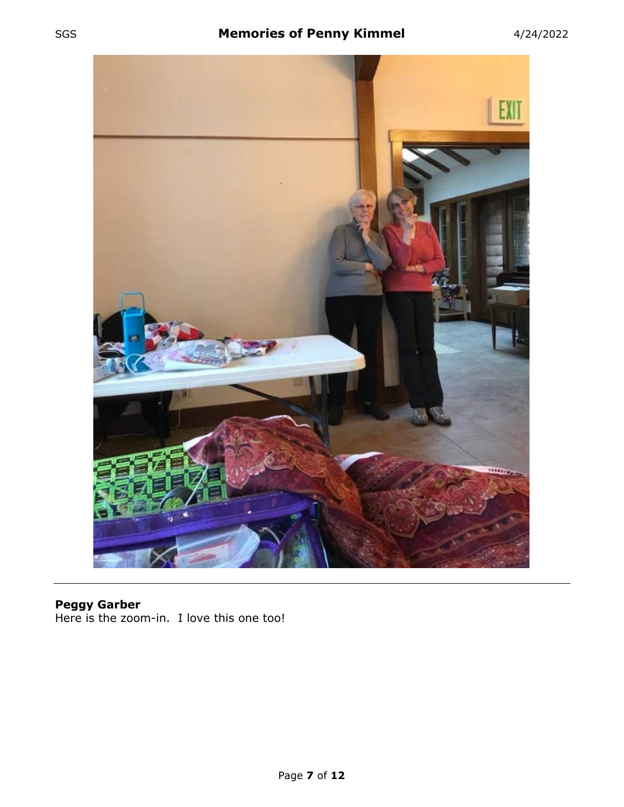

## **Peggy Garber** Here is the zoom-in. I love this one too!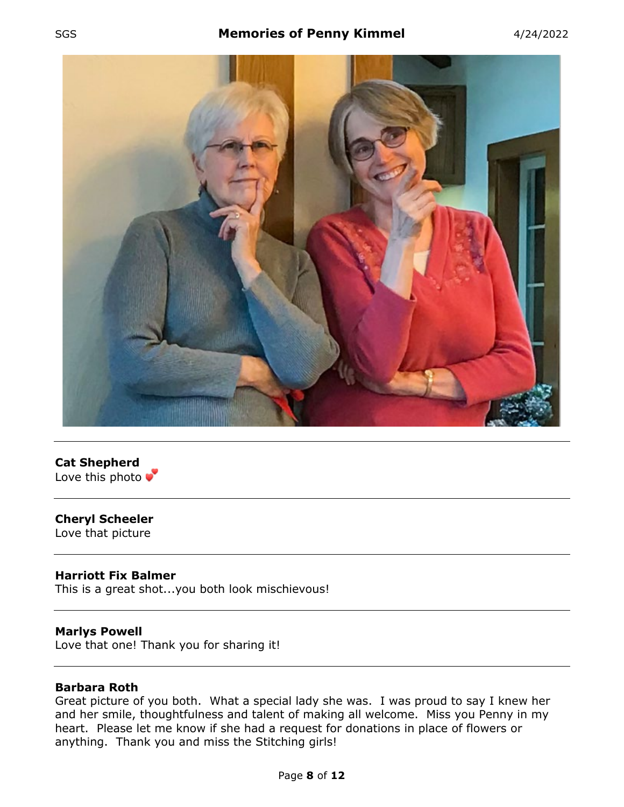# SGS **Memories of Penny Kimmel** 4/24/2022





# **Cheryl Scheeler**

Love that picture

#### **Harriott Fix Balmer**

This is a great shot...you both look mischievous!

#### **Marlys Powell**

Love that one! Thank you for sharing it!

## **Barbara Roth**

Great picture of you both. What a special lady she was. I was proud to say I knew her and her smile, thoughtfulness and talent of making all welcome. Miss you Penny in my heart. Please let me know if she had a request for donations in place of flowers or anything. Thank you and miss the Stitching girls!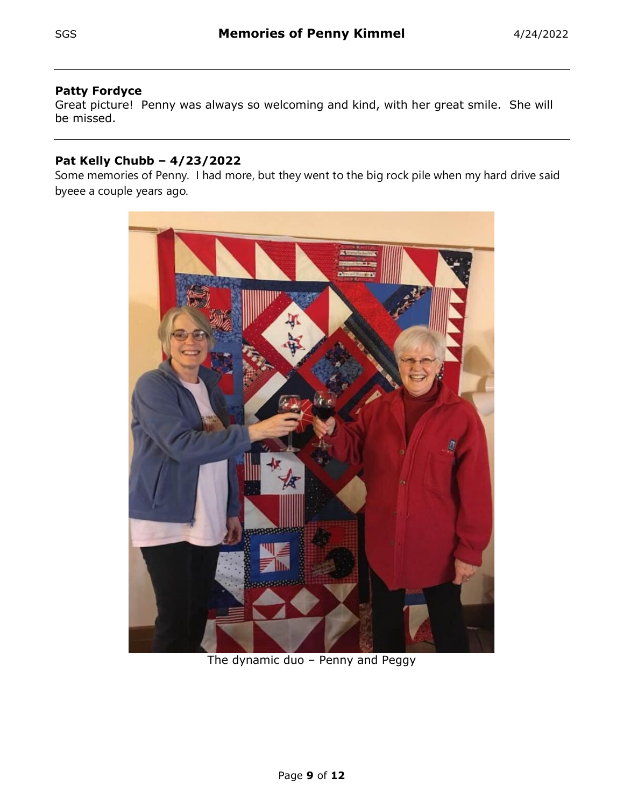# **Patty Fordyce**

Great picture! Penny was always so welcoming and kind, with her great smile. She will be missed.

# **Pat Kelly Chubb – 4/23/2022**

Some memories of Penny. I had more, but they went to the big rock pile when my hard drive said byeee a couple years ago.



The dynamic duo – Penny and Peggy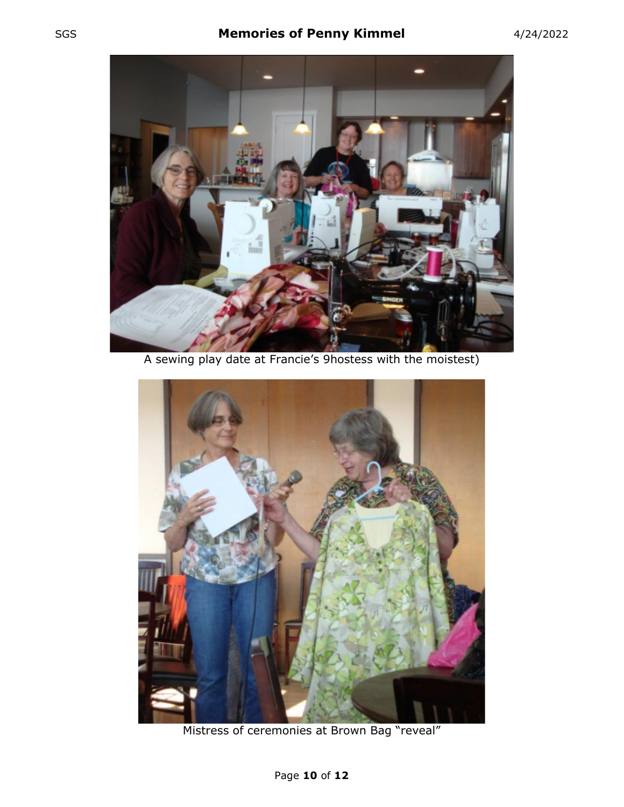

A sewing play date at Francie's 9hostess with the moistest)



Mistress of ceremonies at Brown Bag "reveal"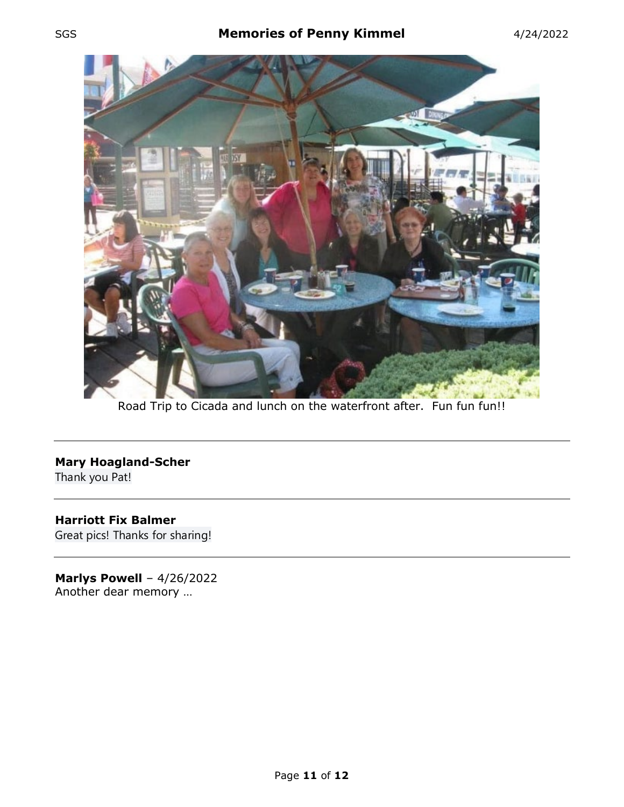

Road Trip to Cicada and lunch on the waterfront after. Fun fun fun!!

# **Mary Hoagland-Scher**

Thank you Pat!

# **Harriott Fix Balmer** Great pics! Thanks for sharing!

**Marlys Powell** – 4/26/2022 Another dear memory …